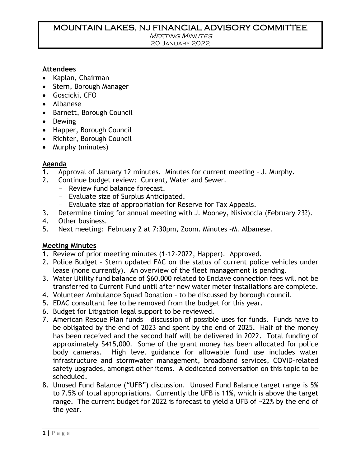## MOUNTAIN LAKES, NJ FINANCIAL ADVISORY COMMITTEE

**MEETING MINUTES** 

20 January 2022

#### **Attendees**

- Kaplan, Chairman
- Stern, Borough Manager
- Goscicki, CFO
- Albanese
- Barnett, Borough Council
- Dewing
- Happer, Borough Council
- Richter, Borough Council
- Murphy (minutes)

#### **Agenda**

- 1. Approval of January 12 minutes. Minutes for current meeting J. Murphy.
- 2. Continue budget review: Current, Water and Sewer.
	- Review fund balance forecast.
	- Evaluate size of Surplus Anticipated.
	- Evaluate size of appropriation for Reserve for Tax Appeals.
- 3. Determine timing for annual meeting with J. Mooney, Nisivoccia (February 23?).
- 4. Other business.
- 5. Next meeting: February 2 at 7:30pm, Zoom. Minutes –M. Albanese.

#### **Meeting Minutes**

- 1. Review of prior meeting minutes (1-12-2022, Happer). Approved.
- 2. Police Budget Stern updated FAC on the status of current police vehicles under lease (none currently). An overview of the fleet management is pending.
- 3. Water Utility fund balance of \$60,000 related to Enclave connection fees will not be transferred to Current Fund until after new water meter installations are complete.
- 4. Volunteer Ambulance Squad Donation to be discussed by borough council.
- 5. EDAC consultant fee to be removed from the budget for this year.
- 6. Budget for Litigation legal support to be reviewed.
- 7. American Rescue Plan funds discussion of possible uses for funds. Funds have to be obligated by the end of 2023 and spent by the end of 2025. Half of the money has been received and the second half will be delivered in 2022. Total funding of approximately \$415,000. Some of the grant money has been allocated for police body cameras. High level guidance for allowable fund use includes water infrastructure and stormwater management, broadband services, COVID-related safety upgrades, amongst other items. A dedicated conversation on this topic to be scheduled.
- 8. Unused Fund Balance ("UFB") discussion. Unused Fund Balance target range is 5% to 7.5% of total appropriations. Currently the UFB is 11%, which is above the target range. The current budget for 2022 is forecast to yield a UFB of ~22% by the end of the year.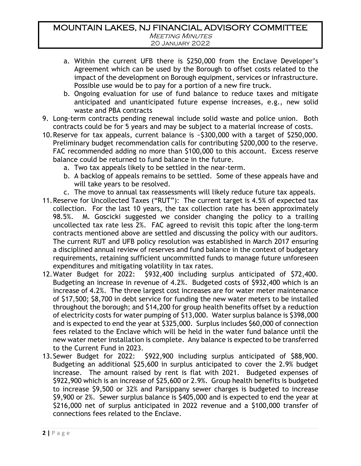# MOUNTAIN LAKES, NJ FINANCIAL ADVISORY COMMITTEE **MEETING MINUTES**

- 20 January 2022
- a. Within the current UFB there is \$250,000 from the Enclave Developer's Agreement which can be used by the Borough to offset costs related to the impact of the development on Borough equipment, services or infrastructure. Possible use would be to pay for a portion of a new fire truck.
- b. Ongoing evaluation for use of fund balance to reduce taxes and mitigate anticipated and unanticipated future expense increases, e.g., new solid waste and PBA contracts
- 9. Long-term contracts pending renewal include solid waste and police union. Both contracts could be for 5 years and may be subject to a material increase of costs.
- 10.Reserve for tax appeals, current balance is ~\$300,000 with a target of \$250,000. Preliminary budget recommendation calls for contributing \$200,000 to the reserve. FAC recommended adding no more than \$100,000 to this account. Excess reserve balance could be returned to fund balance in the future.
	- a. Two tax appeals likely to be settled in the near-term.
	- b. A backlog of appeals remains to be settled. Some of these appeals have and will take years to be resolved.
	- c. The move to annual tax reassessments will likely reduce future tax appeals.
- 11.Reserve for Uncollected Taxes ("RUT"): The current target is 4.5% of expected tax collection. For the last 10 years, the tax collection rate has been approximately 98.5%. M. Goscicki suggested we consider changing the policy to a trailing uncollected tax rate less 2%. FAC agreed to revisit this topic after the long-term contracts mentioned above are settled and discussing the policy with our auditors. The current RUT and UFB policy resolution was established in March 2017 ensuring a disciplined annual review of reserves and fund balance in the context of budgetary requirements, retaining sufficient uncommitted funds to manage future unforeseen expenditures and mitigating volatility in tax rates.
- 12.Water Budget for 2022: \$932,400 including surplus anticipated of \$72,400. Budgeting an increase in revenue of 4.2%. Budgeted costs of \$932,400 which is an increase of 4.2%. The three largest cost increases are for water meter maintenance of \$17,500; \$8,700 in debt service for funding the new water meters to be installed throughout the borough; and \$14,200 for group health benefits offset by a reduction of electricity costs for water pumping of \$13,000. Water surplus balance is \$398,000 and is expected to end the year at \$325,000. Surplus includes \$60,000 of connection fees related to the Enclave which will be held in the water fund balance until the new water meter installation is complete. Any balance is expected to be transferred to the Current Fund in 2023.
- 13.Sewer Budget for 2022: \$922,900 including surplus anticipated of \$88,900. Budgeting an additional \$25,600 in surplus anticipated to cover the 2.9% budget increase. The amount raised by rent is flat with 2021. Budgeted expenses of \$922,900 which is an increase of \$25,600 or 2.9%. Group health benefits is budgeted to increase \$9,500 or 32% and Parsippany sewer charges is budgeted to increase \$9,900 or 2%. Sewer surplus balance is \$405,000 and is expected to end the year at \$216,000 net of surplus anticipated in 2022 revenue and a \$100,000 transfer of connections fees related to the Enclave.